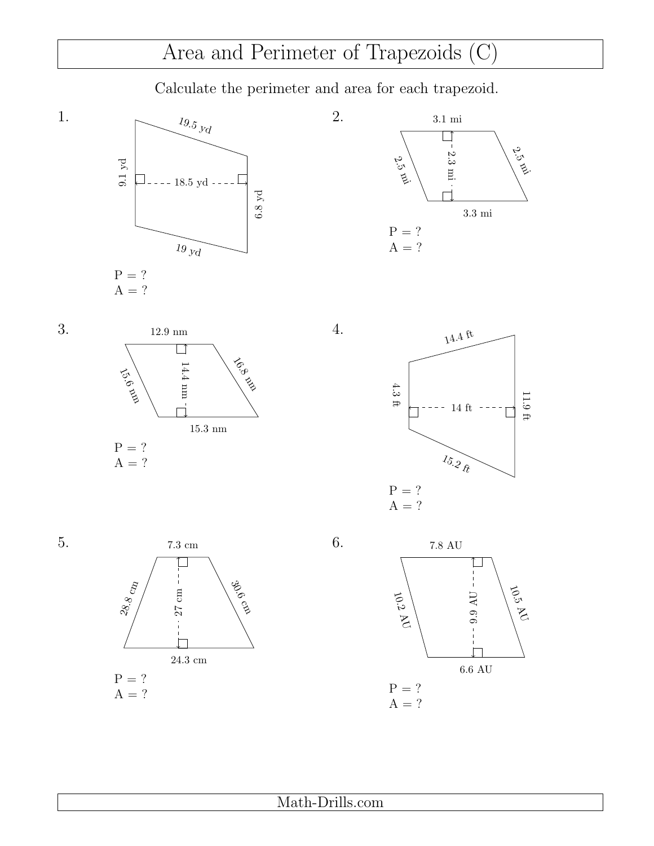## Area and Perimeter of Trapezoids (C)

Calculate the perimeter and area for each trapezoid.

6.8 yd





1.



4.







6.